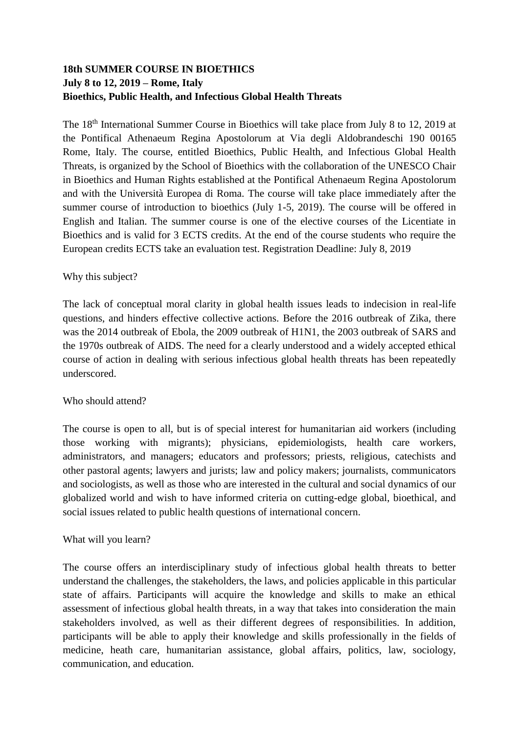## **18th SUMMER COURSE IN BIOETHICS July 8 to 12, 2019 – Rome, Italy Bioethics, Public Health, and Infectious Global Health Threats**

The 18th International Summer Course in Bioethics will take place from July 8 to 12, 2019 at the Pontifical Athenaeum Regina Apostolorum at Via degli Aldobrandeschi 190 00165 Rome, Italy. The course, entitled Bioethics, Public Health, and Infectious Global Health Threats, is organized by the School of Bioethics with the collaboration of the UNESCO Chair in Bioethics and Human Rights established at the Pontifical Athenaeum Regina Apostolorum and with the Università Europea di Roma. The course will take place immediately after the summer course of introduction to bioethics (July 1-5, 2019). The course will be offered in English and Italian. The summer course is one of the elective courses of the Licentiate in Bioethics and is valid for 3 ECTS credits. At the end of the course students who require the European credits ECTS take an evaluation test. Registration Deadline: July 8, 2019

## Why this subject?

The lack of conceptual moral clarity in global health issues leads to indecision in real-life questions, and hinders effective collective actions. Before the 2016 outbreak of Zika, there was the 2014 outbreak of Ebola, the 2009 outbreak of H1N1, the 2003 outbreak of SARS and the 1970s outbreak of AIDS. The need for a clearly understood and a widely accepted ethical course of action in dealing with serious infectious global health threats has been repeatedly underscored.

## Who should attend?

The course is open to all, but is of special interest for humanitarian aid workers (including those working with migrants); physicians, epidemiologists, health care workers, administrators, and managers; educators and professors; priests, religious, catechists and other pastoral agents; lawyers and jurists; law and policy makers; journalists, communicators and sociologists, as well as those who are interested in the cultural and social dynamics of our globalized world and wish to have informed criteria on cutting-edge global, bioethical, and social issues related to public health questions of international concern.

## What will you learn?

The course offers an interdisciplinary study of infectious global health threats to better understand the challenges, the stakeholders, the laws, and policies applicable in this particular state of affairs. Participants will acquire the knowledge and skills to make an ethical assessment of infectious global health threats, in a way that takes into consideration the main stakeholders involved, as well as their different degrees of responsibilities. In addition, participants will be able to apply their knowledge and skills professionally in the fields of medicine, heath care, humanitarian assistance, global affairs, politics, law, sociology, communication, and education.